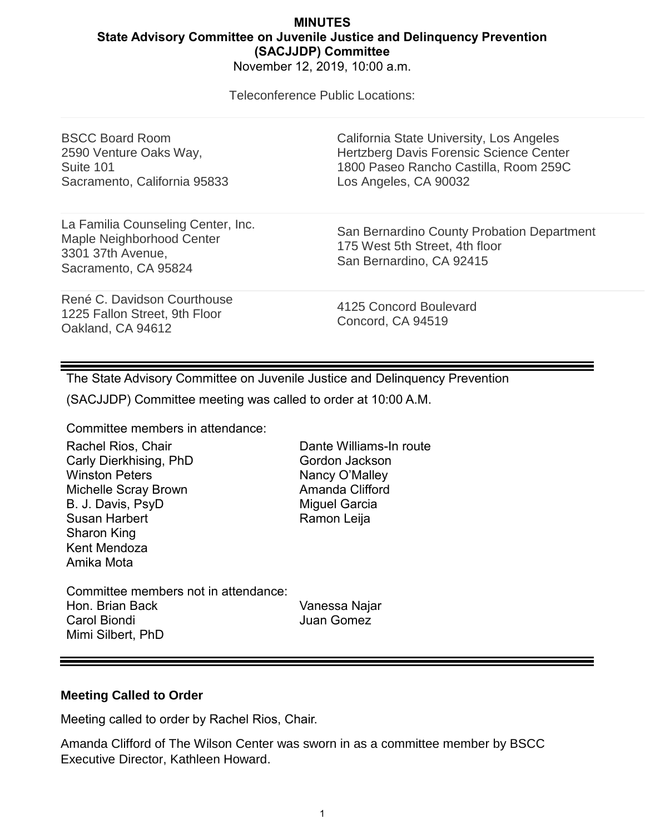### **MINUTES State Advisory Committee on Juvenile Justice and Delinquency Prevention (SACJJDP) Committee** November 12, 2019, 10:00 a.m.

Teleconference Public Locations:

BSCC Board Room 2590 Venture Oaks Way, Suite 101 Sacramento, California 95833

La Familia Counseling Center, Inc. Maple Neighborhood Center 3301 37th Avenue, Sacramento, CA 95824

René C. Davidson Courthouse 1225 Fallon Street, 9th Floor Oakland, CA 94612

California State University, Los Angeles Hertzberg Davis Forensic Science Center 1800 Paseo Rancho Castilla, Room 259C Los Angeles, CA 90032

San Bernardino County Probation Department 175 West 5th Street, 4th floor San Bernardino, CA 92415

4125 Concord Boulevard Concord, CA 94519

The State Advisory Committee on Juvenile Justice and Delinquency Prevention

(SACJJDP) Committee meeting was called to order at 10:00 A.M.

Committee members in attendance:

Rachel Rios, Chair Carly Dierkhising, PhD Winston Peters Michelle Scray Brown B. J. Davis, PsyD Susan Harbert Sharon King Kent Mendoza Amika Mota

Dante Williams-In route Gordon Jackson Nancy O'Malley Amanda Clifford Miguel Garcia Ramon Leija

Committee members not in attendance: Hon. Brian Back Carol Biondi Mimi Silbert, PhD

Vanessa Najar Juan Gomez

## **Meeting Called to Order**

Meeting called to order by Rachel Rios, Chair.

Amanda Clifford of The Wilson Center was sworn in as a committee member by BSCC Executive Director, Kathleen Howard.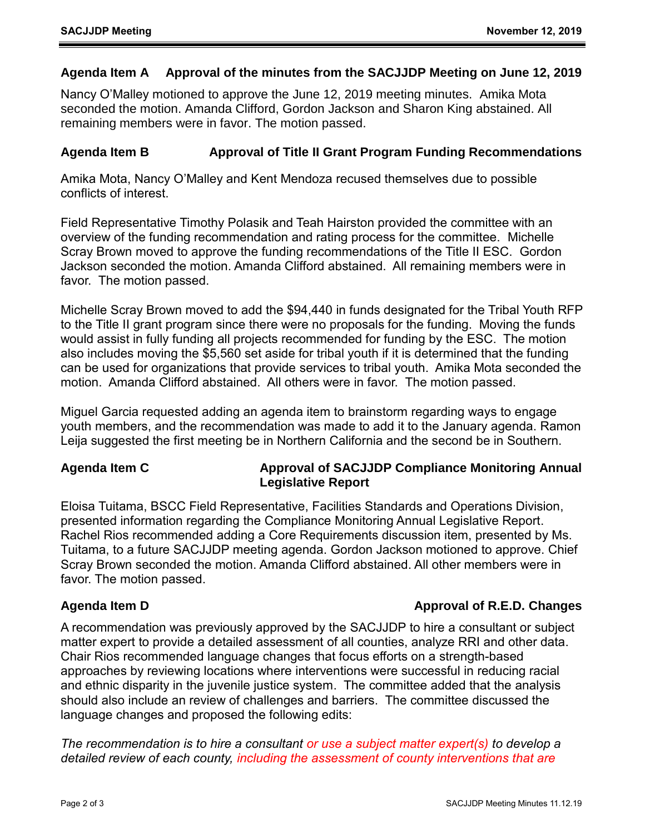## **Agenda Item A Approval of the minutes from the SACJJDP Meeting on June 12, 2019**

Nancy O'Malley motioned to approve the June 12, 2019 meeting minutes. Amika Mota seconded the motion. Amanda Clifford, Gordon Jackson and Sharon King abstained. All remaining members were in favor. The motion passed.

### **Agenda Item B Approval of Title II Grant Program Funding Recommendations**

Amika Mota, Nancy O'Malley and Kent Mendoza recused themselves due to possible conflicts of interest.

Field Representative Timothy Polasik and Teah Hairston provided the committee with an overview of the funding recommendation and rating process for the committee. Michelle Scray Brown moved to approve the funding recommendations of the Title II ESC. Gordon Jackson seconded the motion. Amanda Clifford abstained. All remaining members were in favor. The motion passed.

Michelle Scray Brown moved to add the \$94,440 in funds designated for the Tribal Youth RFP to the Title II grant program since there were no proposals for the funding. Moving the funds would assist in fully funding all projects recommended for funding by the ESC. The motion also includes moving the \$5,560 set aside for tribal youth if it is determined that the funding can be used for organizations that provide services to tribal youth. Amika Mota seconded the motion. Amanda Clifford abstained. All others were in favor. The motion passed.

Miguel Garcia requested adding an agenda item to brainstorm regarding ways to engage youth members, and the recommendation was made to add it to the January agenda. Ramon Leija suggested the first meeting be in Northern California and the second be in Southern.

### **Agenda Item C Approval of SACJJDP Compliance Monitoring Annual Legislative Report**

Eloisa Tuitama, BSCC Field Representative, Facilities Standards and Operations Division, presented information regarding the Compliance Monitoring Annual Legislative Report. Rachel Rios recommended adding a Core Requirements discussion item, presented by Ms. Tuitama, to a future SACJJDP meeting agenda. Gordon Jackson motioned to approve. Chief Scray Brown seconded the motion. Amanda Clifford abstained. All other members were in favor. The motion passed.

## **Agenda Item D Approval of R.E.D. Changes**

A recommendation was previously approved by the SACJJDP to hire a consultant or subject matter expert to provide a detailed assessment of all counties, analyze RRI and other data. Chair Rios recommended language changes that focus efforts on a strength-based approaches by reviewing locations where interventions were successful in reducing racial and ethnic disparity in the juvenile justice system. The committee added that the analysis should also include an review of challenges and barriers. The committee discussed the language changes and proposed the following edits:

*The recommendation is to hire a consultant or use a subject matter expert(s) to develop a detailed review of each county, including the assessment of county interventions that are*